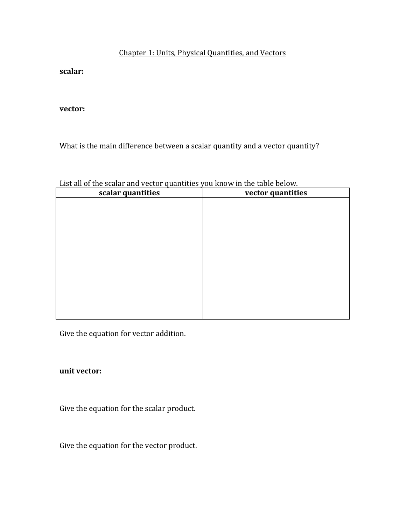## Chapter 1: Units, Physical Quantities, and Vectors

**scalar:**

**vector:**

What is the main difference between a scalar quantity and a vector quantity?

|  | List all of the scalar and vector quantities you know in the table below. |
|--|---------------------------------------------------------------------------|
|--|---------------------------------------------------------------------------|

| $\cdots$ quantum $\cdots$<br>scalar quantities | vector quantities |
|------------------------------------------------|-------------------|
|                                                |                   |
|                                                |                   |
|                                                |                   |
|                                                |                   |
|                                                |                   |
|                                                |                   |
|                                                |                   |
|                                                |                   |
|                                                |                   |
|                                                |                   |
|                                                |                   |
|                                                |                   |

Give the equation for vector addition.

## **unit vector:**

Give the equation for the scalar product.

Give the equation for the vector product.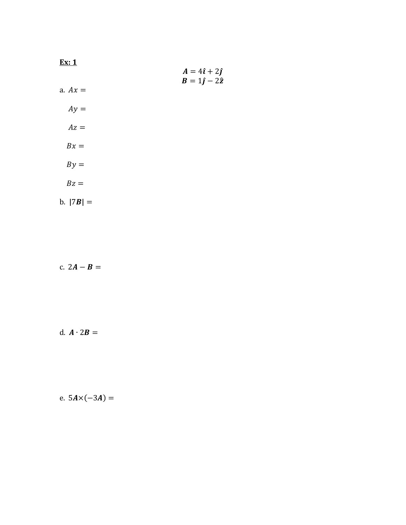| Ex: 1       | $A = 4\hat{i} + 2\hat{j}$ |
|-------------|---------------------------|
| a. $Ax =$   | $B = 1\hat{j} - 2\hat{z}$ |
| $Ay =$      |                           |
| $Az =$      |                           |
| $Bx =$      |                           |
| $By =$      |                           |
| $Bz =$      |                           |
| b. $ 7B  =$ |                           |

c.  $2A - B =$ 

d.  $\mathbf{A} \cdot 2\mathbf{B} =$ 

e. 
$$
5A \times (-3A) =
$$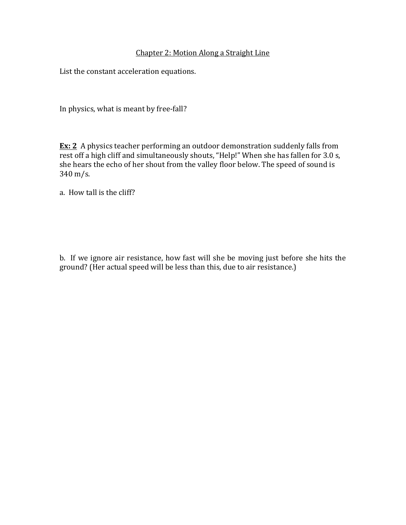## Chapter 2: Motion Along a Straight Line

List the constant acceleration equations.

In physics, what is meant by free-fall?

**Ex: 2** A physics teacher performing an outdoor demonstration suddenly falls from rest off a high cliff and simultaneously shouts, "Help!" When she has fallen for 3.0 s, she hears the echo of her shout from the valley floor below. The speed of sound is  $340 \,\mathrm{m/s}$ .

a. How tall is the cliff?

b. If we ignore air resistance, how fast will she be moving just before she hits the ground? (Her actual speed will be less than this, due to air resistance.)